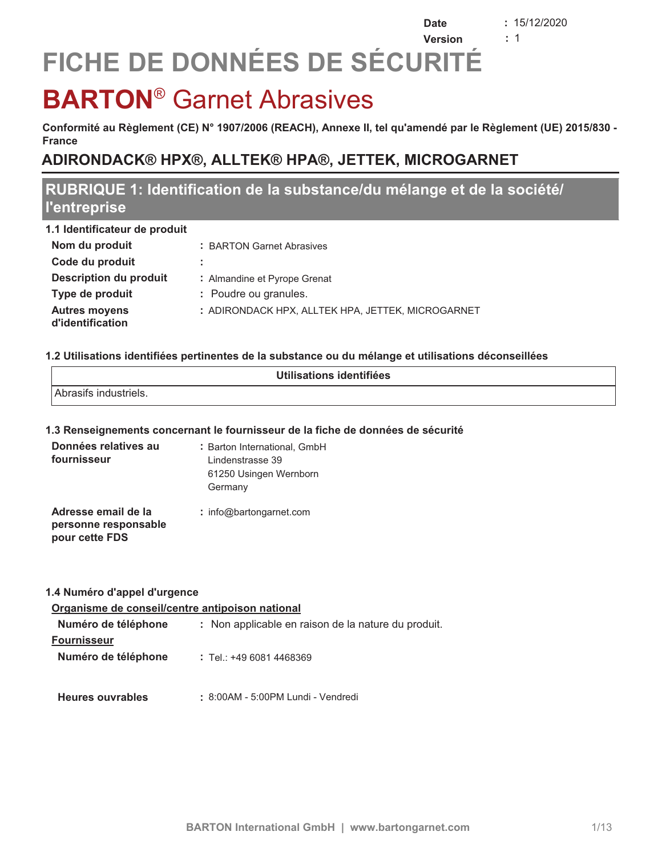$: 15/12/2020$  $\div$  1

**Date** 

## Version FICHE DE DONNÉES DE SÉCURITÉ

## **BARTON<sup>®</sup> Garnet Abrasives**

Conformité au Règlement (CE) N° 1907/2006 (REACH), Annexe II, tel qu'amendé par le Règlement (UE) 2015/830 -**France** 

## ADIRONDACK® HPX®, ALLTEK® HPA®, JETTEK, MICROGARNET

## RUBRIQUE 1: Identification de la substance/du mélange et de la société/ l'entreprise

| 1.1 Identificateur de produit            |                                                   |
|------------------------------------------|---------------------------------------------------|
| Nom du produit                           | : BARTON Garnet Abrasives                         |
| Code du produit                          | ÷                                                 |
| Description du produit                   | : Almandine et Pyrope Grenat                      |
| Type de produit                          | : Poudre ou granules.                             |
| <b>Autres moyens</b><br>d'identification | : ADIRONDACK HPX, ALLTEK HPA, JETTEK, MICROGARNET |

#### 1.2 Utilisations identifiées pertinentes de la substance ou du mélange et utilisations déconseillées

| Utilisations identifiées |
|--------------------------|
| Abrasifs industriels.    |

#### 1.3 Renseignements concernant le fournisseur de la fiche de données de sécurité

| Données relatives au<br>fournisseur                           | : Barton International, GmbH<br>Lindenstrasse 39<br>61250 Usingen Wernborn<br>Germany |
|---------------------------------------------------------------|---------------------------------------------------------------------------------------|
| Adresse email de la<br>personne responsable<br>pour cette FDS | $:$ info@bartongarnet.com                                                             |

#### 1.4 Numéro d'appel d'urgence

#### Organisme de conseil/centre antipoison national

| Numéro de téléphone | : Non applicable en raison de la nature du produit. |  |
|---------------------|-----------------------------------------------------|--|
| <b>Fournisseur</b>  |                                                     |  |
| Numéro de téléphone | $:$ Tel.: +49 6081 4468369                          |  |

#### **Heures ouvrables** : 8:00AM - 5:00PM Lundi - Vendredi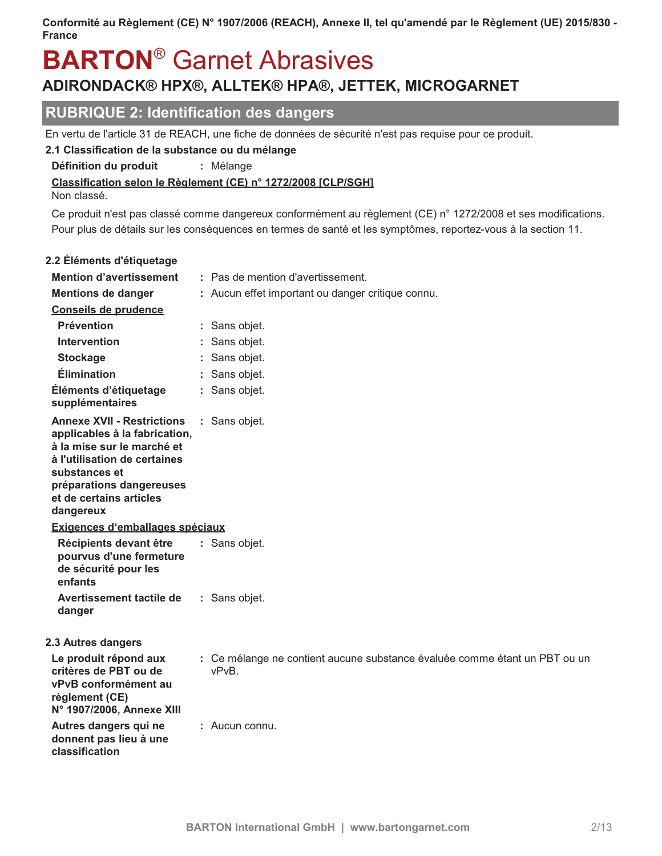## **BARTON<sup>®</sup> Garnet Abrasives** ADIRONDACK® HPX®, ALLTEK® HPA®, JETTEK, MICROGARNET

### **RUBRIQUE 2: Identification des dangers**

En vertu de l'article 31 de REACH, une fiche de données de sécurité n'est pas requise pour ce produit.

#### 2.1 Classification de la substance ou du mélange

Définition du produit : Mélange

Classification selon le Règlement (CE) n° 1272/2008 [CLP/SGH]

Non classé.

Ce produit n'est pas classé comme dangereux conformément au règlement (CE) n° 1272/2008 et ses modifications. Pour plus de détails sur les conséquences en termes de santé et les symptômes, reportez-vous à la section 11.

| 2.2 Éléments d'étiquetage                                                                                                                                                                                             |                                                                                     |
|-----------------------------------------------------------------------------------------------------------------------------------------------------------------------------------------------------------------------|-------------------------------------------------------------------------------------|
| <b>Mention d'avertissement</b>                                                                                                                                                                                        | : Pas de mention d'avertissement.                                                   |
| <b>Mentions de danger</b>                                                                                                                                                                                             | : Aucun effet important ou danger critique connu.                                   |
| Conseils de prudence                                                                                                                                                                                                  |                                                                                     |
| <b>Prévention</b>                                                                                                                                                                                                     | : Sans objet.                                                                       |
| <b>Intervention</b>                                                                                                                                                                                                   | Sans objet.                                                                         |
| <b>Stockage</b>                                                                                                                                                                                                       | Sans objet.                                                                         |
| <b>Élimination</b>                                                                                                                                                                                                    | Sans objet.                                                                         |
| Éléments d'étiquetage<br>supplémentaires                                                                                                                                                                              | : Sans objet.                                                                       |
| <b>Annexe XVII - Restrictions</b><br>applicables à la fabrication,<br>à la mise sur le marché et<br>à l'utilisation de certaines<br>substances et<br>préparations dangereuses<br>et de certains articles<br>dangereux | : Sans objet.                                                                       |
| Exigences d'emballages spéciaux                                                                                                                                                                                       |                                                                                     |
| Récipients devant être<br>pourvus d'une fermeture<br>de sécurité pour les<br>enfants                                                                                                                                  | : Sans objet.                                                                       |
| Avertissement tactile de<br>danger                                                                                                                                                                                    | : Sans objet.                                                                       |
| 2.3 Autres dangers                                                                                                                                                                                                    |                                                                                     |
| Le produit répond aux<br>critères de PBT ou de<br>vPvB conformément au<br>règlement (CE)<br>N° 1907/2006, Annexe XIII                                                                                                 | : Ce mélange ne contient aucune substance évaluée comme étant un PBT ou un<br>vPvB. |
| Autres dangers qui ne<br>donnent pas lieu à une<br>classification                                                                                                                                                     | : Aucun connu.                                                                      |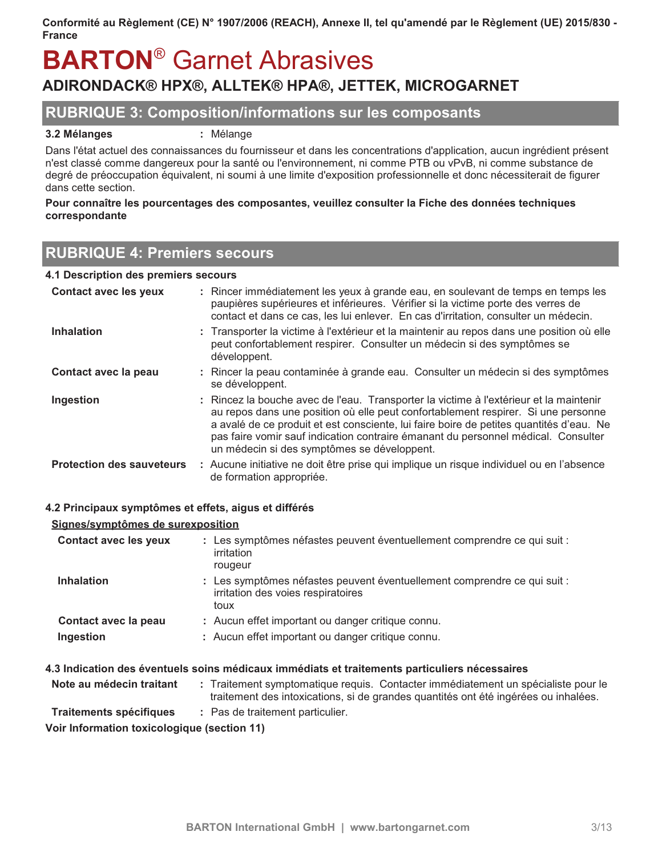## **BARTON<sup>®</sup> Garnet Abrasives** ADIRONDACK® HPX®, ALLTEK® HPA®, JETTEK, MICROGARNET

### **RUBRIQUE 3: Composition/informations sur les composants**

#### 3.2 Mélanges

: Mélange

Dans l'état actuel des connaissances du fournisseur et dans les concentrations d'application, aucun ingrédient présent n'est classé comme dangereux pour la santé ou l'environnement, ni comme PTB ou vPvB, ni comme substance de degré de préoccupation équivalent, ni soumi à une limite d'exposition professionnelle et donc nécessiterait de figurer dans cette section.

#### Pour connaître les pourcentages des composantes, veuillez consulter la Fiche des données techniques correspondante

## **RUBRIQUE 4: Premiers secours**

#### 4.1 Description des premiers secours

| <b>Contact avec les yeux</b>     | : Rincer immédiatement les yeux à grande eau, en soulevant de temps en temps les<br>paupières supérieures et inférieures. Vérifier si la victime porte des verres de<br>contact et dans ce cas, les lui enlever. En cas d'irritation, consulter un médecin.                                                                                                                                                |
|----------------------------------|------------------------------------------------------------------------------------------------------------------------------------------------------------------------------------------------------------------------------------------------------------------------------------------------------------------------------------------------------------------------------------------------------------|
| <b>Inhalation</b>                | : Transporter la victime à l'extérieur et la maintenir au repos dans une position où elle<br>peut confortablement respirer. Consulter un médecin si des symptômes se<br>développent.                                                                                                                                                                                                                       |
| Contact avec la peau             | : Rincer la peau contaminée à grande eau. Consulter un médecin si des symptômes<br>se développent.                                                                                                                                                                                                                                                                                                         |
| Ingestion                        | : Rincez la bouche avec de l'eau. Transporter la victime à l'extérieur et la maintenir<br>au repos dans une position où elle peut confortablement respirer. Si une personne<br>a avalé de ce produit et est consciente, lui faire boire de petites quantités d'eau. Ne<br>pas faire vomir sauf indication contraire émanant du personnel médical. Consulter<br>un médecin si des symptômes se développent. |
| <b>Protection des sauveteurs</b> | : Aucune initiative ne doit être prise qui implique un risque individuel ou en l'absence<br>de formation appropriée.                                                                                                                                                                                                                                                                                       |

#### 4.2 Principaux symptômes et effets, aiqus et différés

#### Signes/symptômes de surexposition

| <b>Contact avec les yeux</b> | : Les symptômes néfastes peuvent éventuellement comprendre ce qui suit :<br>irritation<br>rougeur                      |
|------------------------------|------------------------------------------------------------------------------------------------------------------------|
| <b>Inhalation</b>            | : Les symptômes néfastes peuvent éventuellement comprendre ce qui suit :<br>irritation des voies respiratoires<br>toux |
| Contact avec la peau         | : Aucun effet important ou danger critique connu.                                                                      |
| Ingestion                    | : Aucun effet important ou danger critique connu.                                                                      |

#### 4.3 Indication des éventuels soins médicaux immédiats et traitements particuliers nécessaires

| Note au médecin traitant                 | Traitement symptomatique requis. Contacter immédiatement un spécialiste pour le<br>traitement des intoxications, si de grandes quantités ont été ingérées ou inhalées. |
|------------------------------------------|------------------------------------------------------------------------------------------------------------------------------------------------------------------------|
| <b>Traitements spécifiques</b><br>.<br>. | : Pas de traitement particulier.                                                                                                                                       |

Voir Information toxicologique (section 11)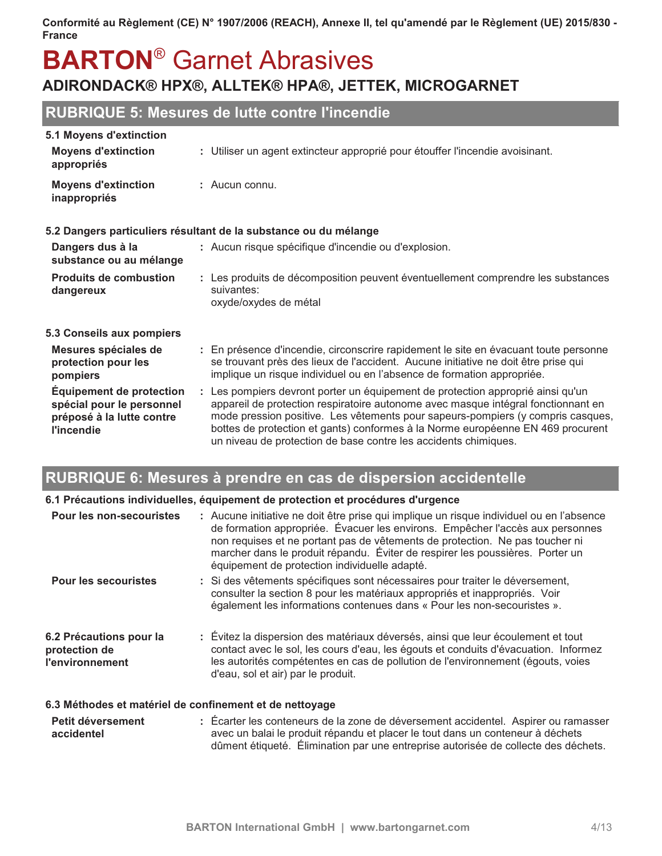## **BARTON®** Garnet Abrasives ADIRONDACK® HPX®, ALLTEK® HPA®, JETTEK, MICROGARNET

## **RUBRIQUE 5: Mesures de lutte contre l'incendie**

|  |  |  | <b>5.1 Moyens d'extinction</b> |  |
|--|--|--|--------------------------------|--|
|--|--|--|--------------------------------|--|

| <b>Moyens d'extinction</b><br>appropriés                                                                | : Utiliser un agent extincteur approprié pour étouffer l'incendie avoisinant.                                                                                                                                                                                                                                                                                                                                 |  |
|---------------------------------------------------------------------------------------------------------|---------------------------------------------------------------------------------------------------------------------------------------------------------------------------------------------------------------------------------------------------------------------------------------------------------------------------------------------------------------------------------------------------------------|--|
| <b>Moyens d'extinction</b><br>inappropriés                                                              | $:$ Aucun connu.                                                                                                                                                                                                                                                                                                                                                                                              |  |
|                                                                                                         | 5.2 Dangers particuliers résultant de la substance ou du mélange                                                                                                                                                                                                                                                                                                                                              |  |
| Dangers dus à la<br>substance ou au mélange                                                             | : Aucun risque spécifique d'incendie ou d'explosion.                                                                                                                                                                                                                                                                                                                                                          |  |
| <b>Produits de combustion</b><br>dangereux                                                              | : Les produits de décomposition peuvent éventuellement comprendre les substances<br>suivantes:<br>oxyde/oxydes de métal                                                                                                                                                                                                                                                                                       |  |
| 5.3 Conseils aux pompiers                                                                               |                                                                                                                                                                                                                                                                                                                                                                                                               |  |
| Mesures spéciales de<br>protection pour les<br>pompiers                                                 | : En présence d'incendie, circonscrire rapidement le site en évacuant toute personne<br>se trouvant près des lieux de l'accident. Aucune initiative ne doit être prise qui<br>implique un risque individuel ou en l'absence de formation appropriée.                                                                                                                                                          |  |
| <b>Équipement de protection</b><br>spécial pour le personnel<br>préposé à la lutte contre<br>l'incendie | : Les pompiers devront porter un équipement de protection approprié ainsi qu'un<br>appareil de protection respiratoire autonome avec masque intégral fonctionnant en<br>mode pression positive. Les vêtements pour sapeurs-pompiers (y compris casques,<br>bottes de protection et gants) conformes à la Norme européenne EN 469 procurent<br>un niveau de protection de base contre les accidents chimiques. |  |

## RUBRIQUE 6: Mesures à prendre en cas de dispersion accidentelle

| 6.1 Précautions individuelles, équipement de protection et procédures d'urgence |                                                                                                                                                                                                                                                                                                                                                                                             |  |
|---------------------------------------------------------------------------------|---------------------------------------------------------------------------------------------------------------------------------------------------------------------------------------------------------------------------------------------------------------------------------------------------------------------------------------------------------------------------------------------|--|
| <b>Pour les non-secouristes</b>                                                 | : Aucune initiative ne doit être prise qui implique un risque individuel ou en l'absence<br>de formation appropriée. Évacuer les environs. Empêcher l'accès aux personnes<br>non requises et ne portant pas de vêtements de protection. Ne pas toucher ni<br>marcher dans le produit répandu. Éviter de respirer les poussières. Porter un<br>équipement de protection individuelle adapté. |  |
| <b>Pour les secouristes</b>                                                     | : Si des vêtements spécifiques sont nécessaires pour traiter le déversement,<br>consulter la section 8 pour les matériaux appropriés et inappropriés. Voir<br>également les informations contenues dans « Pour les non-secouristes ».                                                                                                                                                       |  |
| 6.2 Précautions pour la<br>protection de<br><b>l'environnement</b>              | : Évitez la dispersion des matériaux déversés, ainsi que leur écoulement et tout<br>contact avec le sol, les cours d'eau, les égouts et conduits d'évacuation. Informez<br>les autorités compétentes en cas de pollution de l'environnement (égouts, voies<br>d'eau, sol et air) par le produit.                                                                                            |  |
|                                                                                 | 6.3 Méthodes et matériel de confinement et de nettoyage                                                                                                                                                                                                                                                                                                                                     |  |
| Petit déversement<br>accidentel                                                 | : Écarter les conteneurs de la zone de déversement accidentel. Aspirer ou ramasser<br>avec un balai le produit répandu et placer le tout dans un conteneur à déchets<br>dûment étiqueté. Élimination par une entreprise autorisée de collecte des déchets.                                                                                                                                  |  |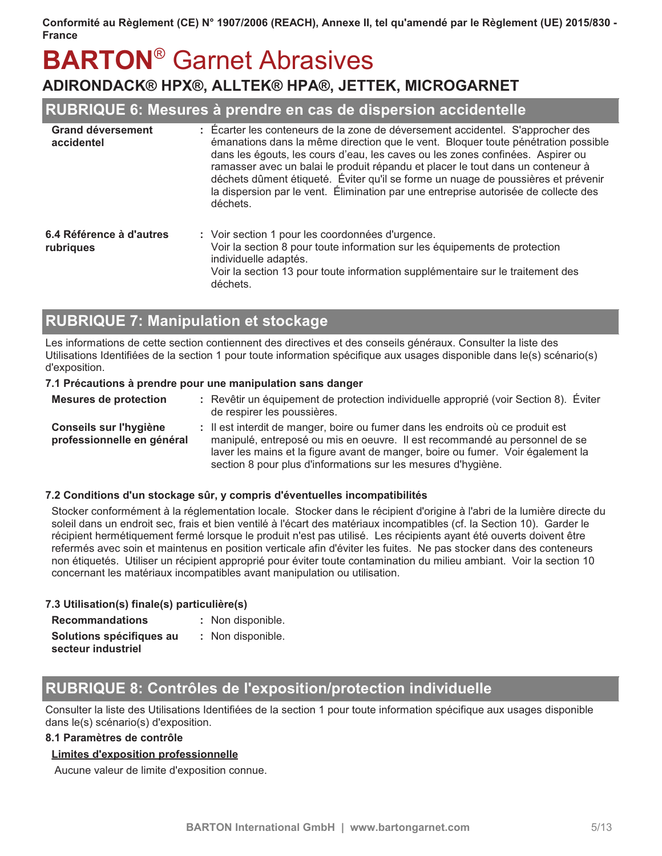# **BARTON®** Garnet Abrasives

## ADIRONDACK® HPX®, ALLTEK® HPA®, JETTEK, MICROGARNET

### RUBRIQUE 6: Mesures à prendre en cas de dispersion accidentelle

| <b>Grand déversement</b><br>accidentel | : Écarter les conteneurs de la zone de déversement accidentel. S'approcher des<br>émanations dans la même direction que le vent. Bloquer toute pénétration possible<br>dans les égouts, les cours d'eau, les caves ou les zones confinées. Aspirer ou<br>ramasser avec un balai le produit répandu et placer le tout dans un conteneur à<br>déchets dûment étiqueté. Éviter qu'il se forme un nuage de poussières et prévenir<br>la dispersion par le vent. Élimination par une entreprise autorisée de collecte des<br>déchets. |
|----------------------------------------|----------------------------------------------------------------------------------------------------------------------------------------------------------------------------------------------------------------------------------------------------------------------------------------------------------------------------------------------------------------------------------------------------------------------------------------------------------------------------------------------------------------------------------|
| 6.4 Référence à d'autres<br>rubriques  | : Voir section 1 pour les coordonnées d'urgence.<br>Voir la section 8 pour toute information sur les équipements de protection<br>individuelle adaptés.<br>Voir la section 13 pour toute information supplémentaire sur le traitement des<br>déchets.                                                                                                                                                                                                                                                                            |

## **RUBRIQUE 7: Manipulation et stockage**

Les informations de cette section contiennent des directives et des conseils généraux. Consulter la liste des Utilisations Identifiées de la section 1 pour toute information spécifique aux usages disponible dans le(s) scénario(s) d'exposition.

#### 7.1 Précautions à prendre pour une manipulation sans danger

| <b>Mesures de protection</b>                         | : Revêtir un équipement de protection individuelle approprié (voir Section 8). Éviter<br>de respirer les poussières.                                                                                                                                                                                              |
|------------------------------------------------------|-------------------------------------------------------------------------------------------------------------------------------------------------------------------------------------------------------------------------------------------------------------------------------------------------------------------|
| Conseils sur l'hygiène<br>professionnelle en général | : Il est interdit de manger, boire ou fumer dans les endroits où ce produit est<br>manipulé, entreposé ou mis en oeuvre. Il est recommandé au personnel de se<br>laver les mains et la figure avant de manger, boire ou fumer. Voir également la<br>section 8 pour plus d'informations sur les mesures d'hygiène. |

#### 7.2 Conditions d'un stockage sûr, y compris d'éventuelles incompatibilités

Stocker conformément à la réglementation locale. Stocker dans le récipient d'origine à l'abri de la lumière directe du soleil dans un endroit sec, frais et bien ventilé à l'écart des matériaux incompatibles (cf. la Section 10). Garder le récipient hermétiquement fermé lorsque le produit n'est pas utilisé. Les récipients ayant été ouverts doivent être refermés avec soin et maintenus en position verticale afin d'éviter les fuites. Ne pas stocker dans des conteneurs non étiquetés. Utiliser un récipient approprié pour éviter toute contamination du milieu ambiant. Voir la section 10 concernant les matériaux incompatibles avant manipulation ou utilisation.

#### 7.3 Utilisation(s) finale(s) particulière(s)

| <b>Recommandations</b>   | : Non disponible. |
|--------------------------|-------------------|
| Solutions spécifiques au | : Non disponible. |
| secteur industriel       |                   |

## RUBRIQUE 8: Contrôles de l'exposition/protection individuelle

Consulter la liste des Utilisations Identifiées de la section 1 pour toute information spécifique aux usages disponible dans le(s) scénario(s) d'exposition.

#### 8.1 Paramètres de contrôle

#### **Limites d'exposition professionnelle**

Aucune valeur de limite d'exposition connue.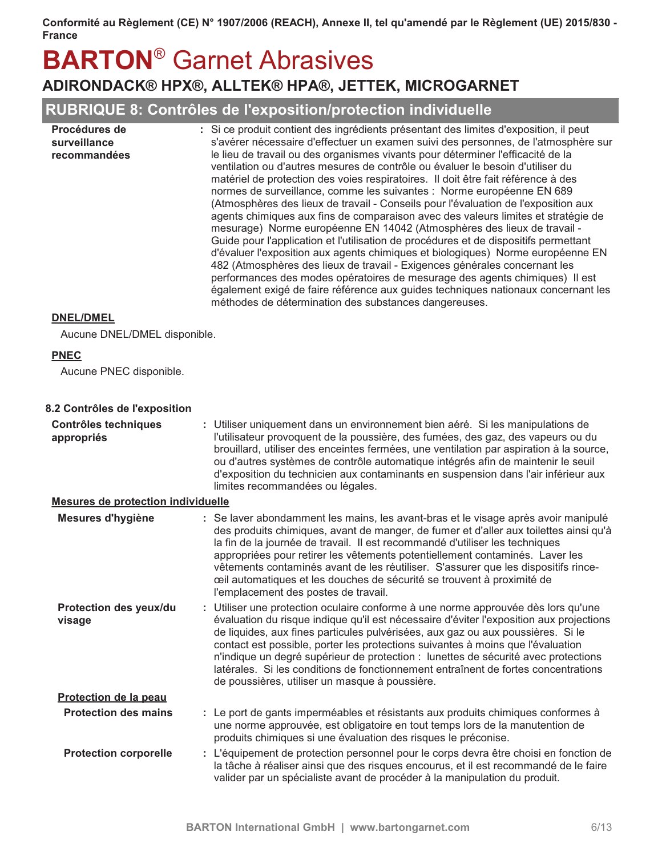## **BARTON<sup>®</sup> Garnet Abrasives** ADIRONDACK® HPX®, ALLTEK® HPA®, JETTEK, MICROGARNET

## RUBRIQUE 8: Contrôles de l'exposition/protection individuelle

| Procédures de<br>surveillance<br>recommandées | : Si ce produit contient des ingrédients présentant des limites d'exposition, il peut<br>s'avérer nécessaire d'effectuer un examen suivi des personnes, de l'atmosphère sur<br>le lieu de travail ou des organismes vivants pour déterminer l'efficacité de la<br>ventilation ou d'autres mesures de contrôle ou évaluer le besoin d'utiliser du<br>matériel de protection des voies respiratoires. Il doit être fait référence à des<br>normes de surveillance, comme les suivantes : Norme européenne EN 689<br>(Atmosphères des lieux de travail - Conseils pour l'évaluation de l'exposition aux<br>agents chimiques aux fins de comparaison avec des valeurs limites et stratégie de<br>mesurage) Norme européenne EN 14042 (Atmosphères des lieux de travail -<br>Guide pour l'application et l'utilisation de procédures et de dispositifs permettant<br>d'évaluer l'exposition aux agents chimiques et biologiques) Norme européenne EN<br>482 (Atmosphères des lieux de travail - Exigences générales concernant les<br>performances des modes opératoires de mesurage des agents chimiques) Il est<br>également exigé de faire référence aux guides techniques nationaux concernant les<br>méthodes de détermination des substances dangereuses. |
|-----------------------------------------------|------------------------------------------------------------------------------------------------------------------------------------------------------------------------------------------------------------------------------------------------------------------------------------------------------------------------------------------------------------------------------------------------------------------------------------------------------------------------------------------------------------------------------------------------------------------------------------------------------------------------------------------------------------------------------------------------------------------------------------------------------------------------------------------------------------------------------------------------------------------------------------------------------------------------------------------------------------------------------------------------------------------------------------------------------------------------------------------------------------------------------------------------------------------------------------------------------------------------------------------------------------|
|                                               |                                                                                                                                                                                                                                                                                                                                                                                                                                                                                                                                                                                                                                                                                                                                                                                                                                                                                                                                                                                                                                                                                                                                                                                                                                                            |

#### **DNEL/DMEL**

Aucune DNEL/DMEL disponible.

#### **PNEC**

Aucune PNEC disponible.

#### 8.2 Contrôles de l'exposition

| <b>Contrôles techniques</b><br>appropriés | Utiliser uniquement dans un environnement bien aéré. Si les manipulations de<br>l'utilisateur provoquent de la poussière, des fumées, des gaz, des vapeurs ou du<br>brouillard, utiliser des enceintes fermées, une ventilation par aspiration à la source,<br>ou d'autres systèmes de contrôle automatique intégrés afin de maintenir le seuil<br>d'exposition du technicien aux contaminants en suspension dans l'air inférieur aux<br>limites recommandées ou légales.                                                                                                        |
|-------------------------------------------|----------------------------------------------------------------------------------------------------------------------------------------------------------------------------------------------------------------------------------------------------------------------------------------------------------------------------------------------------------------------------------------------------------------------------------------------------------------------------------------------------------------------------------------------------------------------------------|
| <b>Mesures de protection individuelle</b> |                                                                                                                                                                                                                                                                                                                                                                                                                                                                                                                                                                                  |
| Mesures d'hygiène                         | : Se laver abondamment les mains, les avant-bras et le visage après avoir manipulé<br>des produits chimiques, avant de manger, de fumer et d'aller aux toilettes ainsi qu'à<br>la fin de la journée de travail. Il est recommandé d'utiliser les techniques<br>appropriées pour retirer les vêtements potentiellement contaminés. Laver les<br>vêtements contaminés avant de les réutiliser. S'assurer que les dispositifs rince-<br>ceil automatiques et les douches de sécurité se trouvent à proximité de<br>l'emplacement des postes de travail.                             |
| Protection des yeux/du<br>visage          | : Utiliser une protection oculaire conforme à une norme approuvée dès lors qu'une<br>évaluation du risque indique qu'il est nécessaire d'éviter l'exposition aux projections<br>de liquides, aux fines particules pulvérisées, aux gaz ou aux poussières. Si le<br>contact est possible, porter les protections suivantes à moins que l'évaluation<br>n'indique un degré supérieur de protection : lunettes de sécurité avec protections<br>latérales. Si les conditions de fonctionnement entraînent de fortes concentrations<br>de poussières, utiliser un masque à poussière. |
| Protection de la peau                     |                                                                                                                                                                                                                                                                                                                                                                                                                                                                                                                                                                                  |
| <b>Protection des mains</b>               | : Le port de gants imperméables et résistants aux produits chimiques conformes à<br>une norme approuvée, est obligatoire en tout temps lors de la manutention de<br>produits chimiques si une évaluation des risques le préconise.                                                                                                                                                                                                                                                                                                                                               |
| <b>Protection corporelle</b>              | : L'équipement de protection personnel pour le corps devra être choisi en fonction de<br>la tâche à réaliser ainsi que des risques encourus, et il est recommandé de le faire<br>valider par un spécialiste avant de procéder à la manipulation du produit.                                                                                                                                                                                                                                                                                                                      |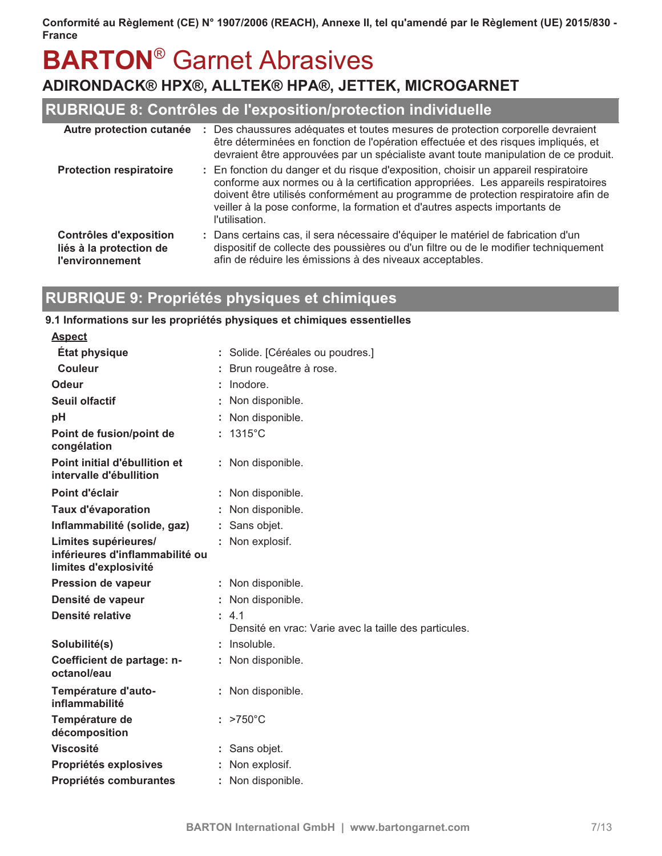# **BARTON®** Garnet Abrasives

## ADIRONDACK® HPX®, ALLTEK® HPA®, JETTEK, MICROGARNET

## RUBRIQUE 8: Contrôles de l'exposition/protection individuelle

| Autre protection cutanée                                                           | : Des chaussures adéquates et toutes mesures de protection corporelle devraient<br>être déterminées en fonction de l'opération effectuée et des risques impliqués, et<br>devraient être approuvées par un spécialiste avant toute manipulation de ce produit.                                                                                                   |
|------------------------------------------------------------------------------------|-----------------------------------------------------------------------------------------------------------------------------------------------------------------------------------------------------------------------------------------------------------------------------------------------------------------------------------------------------------------|
| <b>Protection respiratoire</b>                                                     | : En fonction du danger et du risque d'exposition, choisir un appareil respiratoire<br>conforme aux normes ou à la certification appropriées. Les appareils respiratoires<br>doivent être utilisés conformément au programme de protection respiratoire afin de<br>veiller à la pose conforme, la formation et d'autres aspects importants de<br>l'utilisation. |
| <b>Contrôles d'exposition</b><br>liés à la protection de<br><b>l'environnement</b> | : Dans certains cas, il sera nécessaire d'équiper le matériel de fabrication d'un<br>dispositif de collecte des poussières ou d'un filtre ou de le modifier techniquement<br>afin de réduire les émissions à des niveaux acceptables.                                                                                                                           |

## RUBRIQUE 9: Propriétés physiques et chimiques

#### 9.1 Informations sur les propriétés physiques et chimiques essentielles

| <u>Aspect</u>                                                                    |                                                                |
|----------------------------------------------------------------------------------|----------------------------------------------------------------|
| État physique                                                                    | : Solide. [Céréales ou poudres.]                               |
| Couleur                                                                          | Brun rougeâtre à rose.                                         |
| Odeur                                                                            | Inodore.                                                       |
| Seuil olfactif                                                                   | Non disponible.                                                |
| рH                                                                               | Non disponible.                                                |
| Point de fusion/point de<br>congélation                                          | $: 1315^{\circ}$ C                                             |
| Point initial d'ébullition et<br>intervalle d'ébullition                         | : Non disponible.                                              |
| Point d'éclair                                                                   | : Non disponible.                                              |
| Taux d'évaporation                                                               | Non disponible.                                                |
| Inflammabilité (solide, gaz)                                                     | Sans objet.                                                    |
| Limites supérieures/<br>inférieures d'inflammabilité ou<br>limites d'explosivité | Non explosif.                                                  |
| <b>Pression de vapeur</b>                                                        | : Non disponible.                                              |
| Densité de vapeur                                                                | Non disponible.                                                |
| Densité relative                                                                 | : 4.1<br>Densité en vrac: Varie avec la taille des particules. |
| Solubilité(s)                                                                    | Insoluble.                                                     |
| Coefficient de partage: n-<br>octanol/eau                                        | Non disponible.                                                |
| Température d'auto-<br>inflammabilité                                            | : Non disponible.                                              |
| Température de<br>décomposition                                                  | $: >750^{\circ}$ C                                             |
| <b>Viscosité</b>                                                                 | Sans objet.                                                    |
| Propriétés explosives                                                            | Non explosif.                                                  |
| Propriétés comburantes                                                           | : Non disponible.                                              |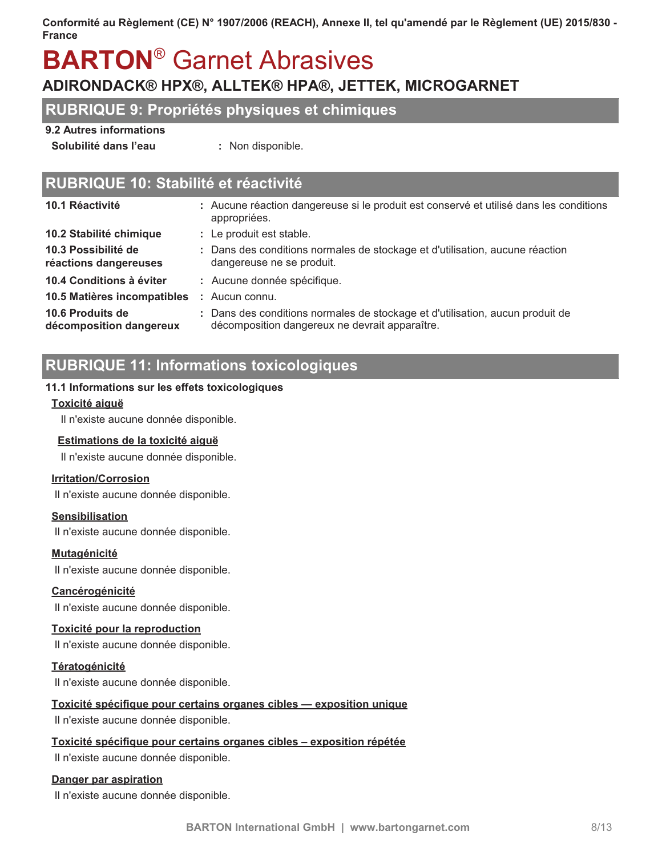# **BARTON®** Garnet Abrasives

## ADIRONDACK® HPX®, ALLTEK® HPA®, JETTEK, MICROGARNET

### **RUBRIQUE 9: Propriétés physiques et chimiques**

#### 9.2 Autres informations

Solubilité dans l'eau

: Non disponible.

## RUBRIQUE 10: Stabilité et réactivité

| 10.1 Réactivité                              | : Aucune réaction dangereuse si le produit est conservé et utilisé dans les conditions<br>appropriées.                          |
|----------------------------------------------|---------------------------------------------------------------------------------------------------------------------------------|
| 10.2 Stabilité chimique                      | : Le produit est stable.                                                                                                        |
| 10.3 Possibilité de<br>réactions dangereuses | : Dans des conditions normales de stockage et d'utilisation, aucune réaction<br>dangereuse ne se produit.                       |
| 10.4 Conditions à éviter                     | : Aucune donnée spécifique.                                                                                                     |
| 10.5 Matières incompatibles                  | $:$ Aucun connu.                                                                                                                |
| 10.6 Produits de<br>décomposition dangereux  | : Dans des conditions normales de stockage et d'utilisation, aucun produit de<br>décomposition dangereux ne devrait apparaître. |
|                                              |                                                                                                                                 |

## **RUBRIQUE 11: Informations toxicologiques**

#### 11.1 Informations sur les effets toxicologiques

#### Toxicité aiguë

Il n'existe aucune donnée disponible.

#### Estimations de la toxicité aiquë

Il n'existe aucune donnée disponible.

#### **Irritation/Corrosion**

Il n'existe aucune donnée disponible.

#### **Sensibilisation**

Il n'existe aucune donnée disponible.

#### Mutagénicité

Il n'existe aucune donnée disponible.

#### Cancérogénicité

Il n'existe aucune donnée disponible.

#### Toxicité pour la reproduction

Il n'existe aucune donnée disponible.

#### Tératogénicité

Il n'existe aucune donnée disponible.

#### Toxicité spécifique pour certains organes cibles — exposition unique

Il n'existe aucune donnée disponible.

#### Toxicité spécifique pour certains organes cibles - exposition répétée

Il n'existe aucune donnée disponible.

#### Danger par aspiration

Il n'existe aucune donnée disponible.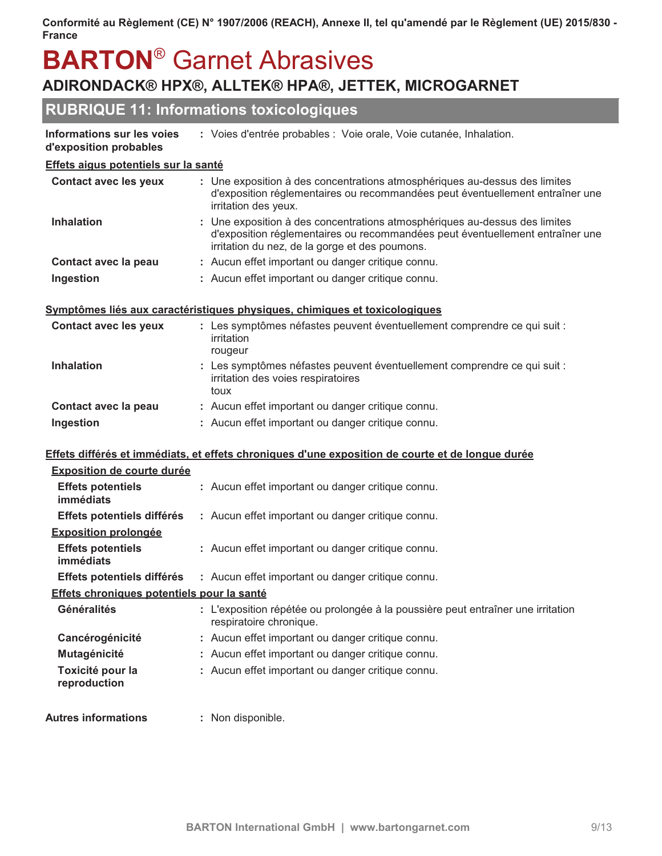# **BARTON<sup>®</sup> Garnet Abrasives**

## ADIRONDACK® HPX®, ALLTEK® HPA®, JETTEK, MICROGARNET

## **RUBRIQUE 11: Informations toxicologiques**

| Informations sur les voies | : Voies d'entrée probables : Voie orale, Voie cutanée, Inhalation. |  |  |
|----------------------------|--------------------------------------------------------------------|--|--|
|                            |                                                                    |  |  |

#### d'exposition probables

#### Effets aigus potentiels sur la santé

| <b>Contact avec les yeux</b> | : Une exposition à des concentrations atmosphériques au-dessus des limites<br>d'exposition réglementaires ou recommandées peut éventuellement entraîner une<br>irritation des yeux.                           |
|------------------------------|---------------------------------------------------------------------------------------------------------------------------------------------------------------------------------------------------------------|
| <b>Inhalation</b>            | : Une exposition à des concentrations atmosphériques au-dessus des limites<br>d'exposition réglementaires ou recommandées peut éventuellement entraîner une<br>irritation du nez, de la gorge et des poumons. |
| Contact avec la peau         | : Aucun effet important ou danger critique connu.                                                                                                                                                             |
| Ingestion                    | : Aucun effet important ou danger critique connu.                                                                                                                                                             |

#### Symptômes liés aux caractéristiques physiques, chimiques et toxicologiques

| <b>Contact avec les yeux</b> | : Les symptômes néfastes peuvent éventuellement comprendre ce qui suit :<br>irritation<br>rougeur                      |
|------------------------------|------------------------------------------------------------------------------------------------------------------------|
| <b>Inhalation</b>            | : Les symptômes néfastes peuvent éventuellement comprendre ce qui suit :<br>irritation des voies respiratoires<br>toux |
| Contact avec la peau         | : Aucun effet important ou danger critique connu.                                                                      |
| Ingestion                    | : Aucun effet important ou danger critique connu.                                                                      |

#### Effets différés et immédiats, et effets chroniques d'une exposition de courte et de longue durée

| <b>Exposition de courte durée</b>                 |                                                                                                             |  |
|---------------------------------------------------|-------------------------------------------------------------------------------------------------------------|--|
| <b>Effets potentiels</b><br>immédiats             | : Aucun effet important ou danger critique connu.                                                           |  |
| Effets potentiels différés                        | : Aucun effet important ou danger critique connu.                                                           |  |
| <b>Exposition prolongée</b>                       |                                                                                                             |  |
| <b>Effets potentiels</b><br>immédiats             | : Aucun effet important ou danger critique connu.                                                           |  |
| Effets potentiels différés                        | : Aucun effet important ou danger critique connu.                                                           |  |
| <u>Effets chroniques potentiels pour la santé</u> |                                                                                                             |  |
| Généralités                                       | : L'exposition répétée ou prolongée à la poussière peut entraîner une irritation<br>respiratoire chronique. |  |
| Cancérogénicité                                   | : Aucun effet important ou danger critique connu.                                                           |  |
| Mutagénicité                                      | : Aucun effet important ou danger critique connu.                                                           |  |
| Toxicité pour la<br>reproduction                  | : Aucun effet important ou danger critique connu.                                                           |  |
| <b>Autres informations</b>                        | : Non disponible.                                                                                           |  |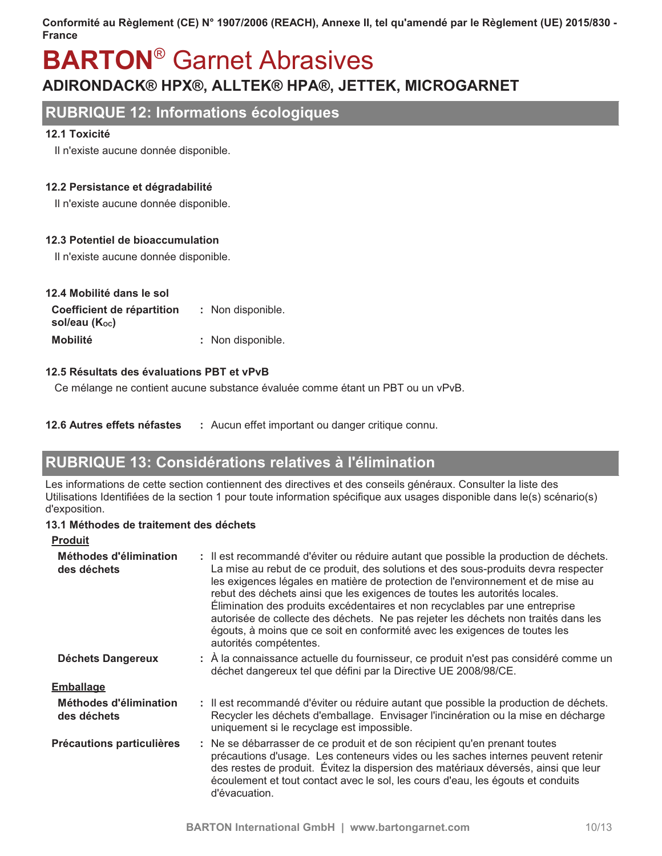## **BARTON<sup>®</sup> Garnet Abrasives** ADIRONDACK® HPX®, ALLTEK® HPA®, JETTEK, MICROGARNET

### **RUBRIQUE 12: Informations écologiques**

#### 12.1 Toxicité

Il n'existe aucune donnée disponible.

#### 12.2 Persistance et dégradabilité

Il n'existe aucune donnée disponible.

#### 12.3 Potentiel de bioaccumulation

Il n'existe aucune donnée disponible.

| 12.4 Mobilité dans le sol                   |                   |  |
|---------------------------------------------|-------------------|--|
| Coefficient de répartition<br>sol/eau (Koc) | : Non disponible. |  |
| <b>Mobilité</b>                             | : Non disponible. |  |

#### 12.5 Résultats des évaluations PBT et vPvB

Ce mélange ne contient aucune substance évaluée comme étant un PBT ou un vPvB.

12.6 Autres effets néfastes : Aucun effet important ou danger critique connu.

## RUBRIQUE 13: Considérations relatives à l'élimination

Les informations de cette section contiennent des directives et des conseils généraux. Consulter la liste des Utilisations Identifiées de la section 1 pour toute information spécifique aux usages disponible dans le(s) scénario(s) d'exposition.

#### 13.1 Méthodes de traitement des déchets

| <b>Produit</b>                        |                                                                                                                                                                                                                                                                                                                                                                                                                                                                                                                                                                                                                            |
|---------------------------------------|----------------------------------------------------------------------------------------------------------------------------------------------------------------------------------------------------------------------------------------------------------------------------------------------------------------------------------------------------------------------------------------------------------------------------------------------------------------------------------------------------------------------------------------------------------------------------------------------------------------------------|
| Méthodes d'élimination<br>des déchets | : Il est recommandé d'éviter ou réduire autant que possible la production de déchets.<br>La mise au rebut de ce produit, des solutions et des sous-produits devra respecter<br>les exigences légales en matière de protection de l'environnement et de mise au<br>rebut des déchets ainsi que les exigences de toutes les autorités locales.<br>Elimination des produits excédentaires et non recyclables par une entreprise<br>autorisée de collecte des déchets. Ne pas rejeter les déchets non traités dans les<br>égouts, à moins que ce soit en conformité avec les exigences de toutes les<br>autorités compétentes. |
| <b>Déchets Dangereux</b>              | : A la connaissance actuelle du fournisseur, ce produit n'est pas considéré comme un<br>déchet dangereux tel que défini par la Directive UE 2008/98/CE.                                                                                                                                                                                                                                                                                                                                                                                                                                                                    |
| <b>Emballage</b>                      |                                                                                                                                                                                                                                                                                                                                                                                                                                                                                                                                                                                                                            |
| Méthodes d'élimination<br>des déchets | : Il est recommandé d'éviter ou réduire autant que possible la production de déchets.<br>Recycler les déchets d'emballage. Envisager l'incinération ou la mise en décharge<br>uniquement si le recyclage est impossible.                                                                                                                                                                                                                                                                                                                                                                                                   |
| Précautions particulières             | : Ne se débarrasser de ce produit et de son récipient qu'en prenant toutes<br>précautions d'usage. Les conteneurs vides ou les saches internes peuvent retenir<br>des restes de produit. Évitez la dispersion des matériaux déversés, ainsi que leur<br>écoulement et tout contact avec le sol, les cours d'eau, les égouts et conduits<br>d'évacuation.                                                                                                                                                                                                                                                                   |
|                                       |                                                                                                                                                                                                                                                                                                                                                                                                                                                                                                                                                                                                                            |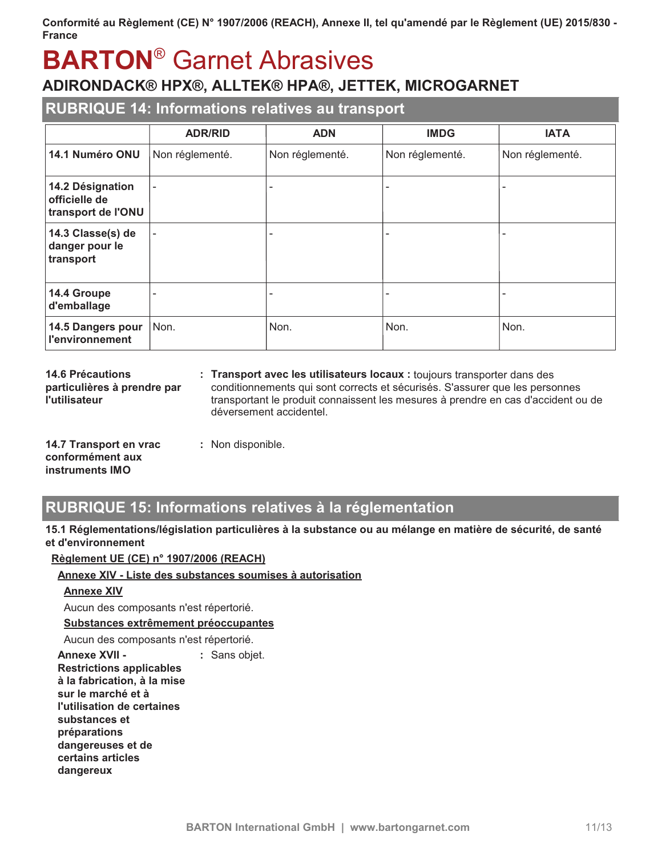# **BARTON®** Garnet Abrasives

## ADIRONDACK® HPX®, ALLTEK® HPA®, JETTEK, MICROGARNET

### **RUBRIQUE 14: Informations relatives au transport**

|                                                         | <b>ADR/RID</b>           | <b>ADN</b>      | <b>IMDG</b>     | <b>IATA</b>     |
|---------------------------------------------------------|--------------------------|-----------------|-----------------|-----------------|
| 14.1 Numéro ONU                                         | Non réglementé.          | Non réglementé. | Non réglementé. | Non réglementé. |
| 14.2 Désignation<br>officielle de<br>transport de l'ONU | $\overline{\phantom{a}}$ |                 |                 |                 |
| 14.3 Classe(s) de<br>danger pour le<br>transport        | $\overline{\phantom{a}}$ |                 |                 |                 |
| 14.4 Groupe<br>d'emballage                              |                          |                 |                 |                 |
| 14.5 Dangers pour<br><b>l'environnement</b>             | Non.                     | Non.            | Non.            | Non.            |

**14.6 Précautions** particulières à prendre par l'utilisateur

: Transport avec les utilisateurs locaux : toujours transporter dans des conditionnements qui sont corrects et sécurisés. S'assurer que les personnes transportant le produit connaissent les mesures à prendre en cas d'accident ou de déversement accidentel.

| 14.7 Transport en vrac | : Non disponible. |
|------------------------|-------------------|
| conformément aux       |                   |
| instruments IMO        |                   |

## RUBRIQUE 15: Informations relatives à la réglementation

#### 15.1 Réglementations/législation particulières à la substance ou au mélange en matière de sécurité, de santé et d'environnement

#### Règlement UE (CE) n° 1907/2006 (REACH)

#### Annexe XIV - Liste des substances soumises à autorisation

#### **Annexe XIV**

Aucun des composants n'est répertorié.

#### Substances extrêmement préoccupantes

Aucun des composants n'est répertorié.

**Annexe XVII -**: Sans objet. **Restrictions applicables** à la fabrication, à la mise sur le marché et à l'utilisation de certaines substances et préparations dangereuses et de certains articles dangereux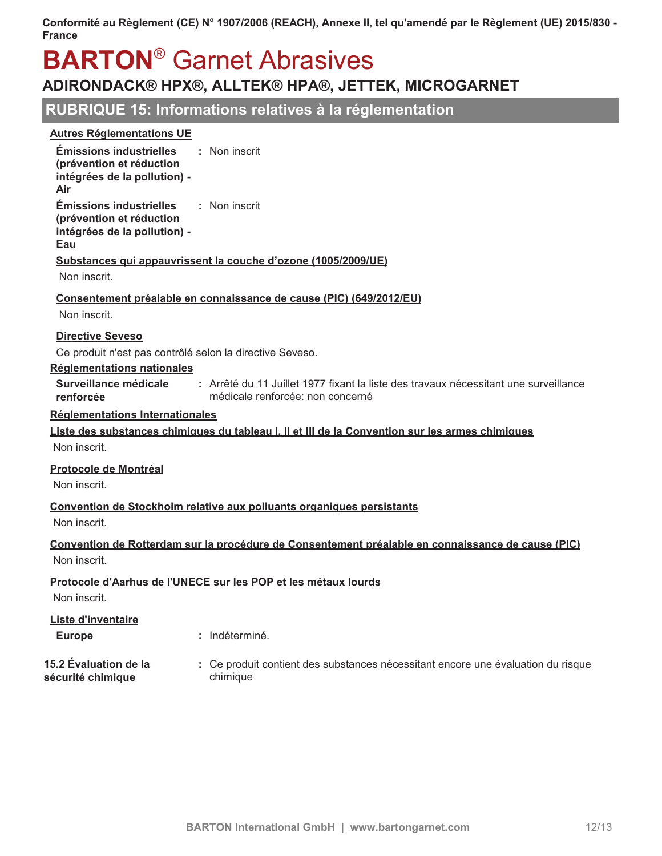# **BARTON<sup>®</sup> Garnet Abrasives**

## ADIRONDACK® HPX®, ALLTEK® HPA®, JETTEK, MICROGARNET

## RUBRIQUE 15: Informations relatives à la réglementation

#### **Autres Réglementations UE**

| <b>Émissions industrielles</b><br>(prévention et réduction<br>intégrées de la pollution) -<br>Air | : Non inscrit                                                                                                            |
|---------------------------------------------------------------------------------------------------|--------------------------------------------------------------------------------------------------------------------------|
| <b>Émissions industrielles</b><br>(prévention et réduction<br>intégrées de la pollution) -<br>Eau | : Non inscrit                                                                                                            |
|                                                                                                   | Substances qui appauvrissent la couche d'ozone (1005/2009/UE)                                                            |
| Non inscrit.                                                                                      |                                                                                                                          |
| Non inscrit.                                                                                      | Consentement préalable en connaissance de cause (PIC) (649/2012/EU)                                                      |
| <b>Directive Seveso</b>                                                                           |                                                                                                                          |
|                                                                                                   | Ce produit n'est pas contrôlé selon la directive Seveso.                                                                 |
| Réglementations nationales                                                                        |                                                                                                                          |
| Surveillance médicale<br>renforcée                                                                | : Arrêté du 11 Juillet 1977 fixant la liste des travaux nécessitant une surveillance<br>médicale renforcée: non concerné |
| <b>Réglementations Internationales</b>                                                            |                                                                                                                          |
|                                                                                                   | Liste des substances chimiques du tableau I, II et III de la Convention sur les armes chimiques                          |
| Non inscrit.                                                                                      |                                                                                                                          |
| <b>Protocole de Montréal</b>                                                                      |                                                                                                                          |
| Non inscrit.                                                                                      |                                                                                                                          |
| Non inscrit.                                                                                      | Convention de Stockholm relative aux polluants organiques persistants                                                    |
|                                                                                                   | Convention de Rotterdam sur la procédure de Consentement préalable en connaissance de cause (PIC)                        |
| Non inscrit.                                                                                      |                                                                                                                          |
| Non inscrit.                                                                                      | Protocole d'Aarhus de l'UNECE sur les POP et les métaux lourds                                                           |
| <b>Liste d'inventaire</b>                                                                         |                                                                                                                          |
| <b>Europe</b>                                                                                     | : Indéterminé.                                                                                                           |
| 15.2 Évaluation de la<br>sécurité chimiaue                                                        | : Ce produit contient des substances nécessitant encore une évaluation du risque<br>chimique                             |